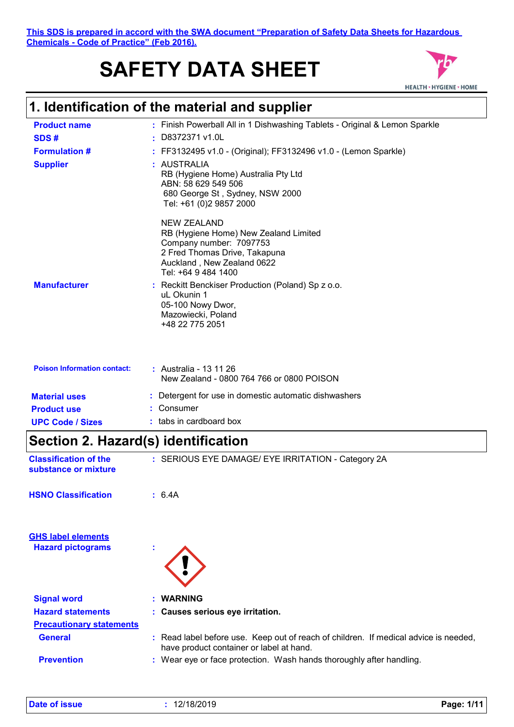**This SDS is prepared in accord with the SWA document "Preparation of Safety Data Sheets for Hazardous Chemicals - Code of Practice" (Feb 2016).**

# **SAFETY DATA SHEET**



# **1. Identification of the material and supplier**

| <b>Product name</b>                | : Finish Powerball All in 1 Dishwashing Tablets - Original & Lemon Sparkle                                                                                            |
|------------------------------------|-----------------------------------------------------------------------------------------------------------------------------------------------------------------------|
| SDS#                               | : D8372371 v1.0L                                                                                                                                                      |
| <b>Formulation #</b>               | FF3132495 v1.0 - (Original); FF3132496 v1.0 - (Lemon Sparkle)                                                                                                         |
| <b>Supplier</b>                    | : AUSTRALIA<br>RB (Hygiene Home) Australia Pty Ltd<br>ABN: 58 629 549 506<br>680 George St, Sydney, NSW 2000<br>Tel: +61 (0)2 9857 2000                               |
|                                    | NEW ZEALAND<br>RB (Hygiene Home) New Zealand Limited<br>Company number: 7097753<br>2 Fred Thomas Drive, Takapuna<br>Auckland, New Zealand 0622<br>Tel: +64 9 484 1400 |
| <b>Manufacturer</b>                | : Reckitt Benckiser Production (Poland) Sp z o.o.<br>uL Okunin 1<br>05-100 Nowy Dwor,<br>Mazowiecki, Poland<br>+48 22 775 2051                                        |
| <b>Poison Information contact:</b> | : Australia - 13 11 26<br>New Zealand - 0800 764 766 or 0800 POISON                                                                                                   |
| <b>Material uses</b>               | : Detergent for use in domestic automatic dishwashers                                                                                                                 |
| <b>Product use</b>                 | Consumer                                                                                                                                                              |
| <b>UPC Code / Sizes</b>            | $:$ tabs in cardboard box                                                                                                                                             |

## **Section 2. Hazard(s) identification**

| <b>Classification of the</b><br>substance or mixture | : SERIOUS EYE DAMAGE/ EYE IRRITATION - Category 2A |  |
|------------------------------------------------------|----------------------------------------------------|--|
| <b>HSNO Classification</b>                           | :6.4A                                              |  |

| <b>GHS label elements</b>       |                                                                                                                                  |
|---------------------------------|----------------------------------------------------------------------------------------------------------------------------------|
| <b>Hazard pictograms</b>        |                                                                                                                                  |
|                                 |                                                                                                                                  |
| <b>Signal word</b>              | : WARNING                                                                                                                        |
| <b>Hazard statements</b>        | : Causes serious eye irritation.                                                                                                 |
| <b>Precautionary statements</b> |                                                                                                                                  |
| <b>General</b>                  | : Read label before use. Keep out of reach of children. If medical advice is needed,<br>have product container or label at hand. |
| <b>Prevention</b>               | : Wear eye or face protection. Wash hands thoroughly after handling.                                                             |

| Date of issue |  |  |
|---------------|--|--|
|               |  |  |
|               |  |  |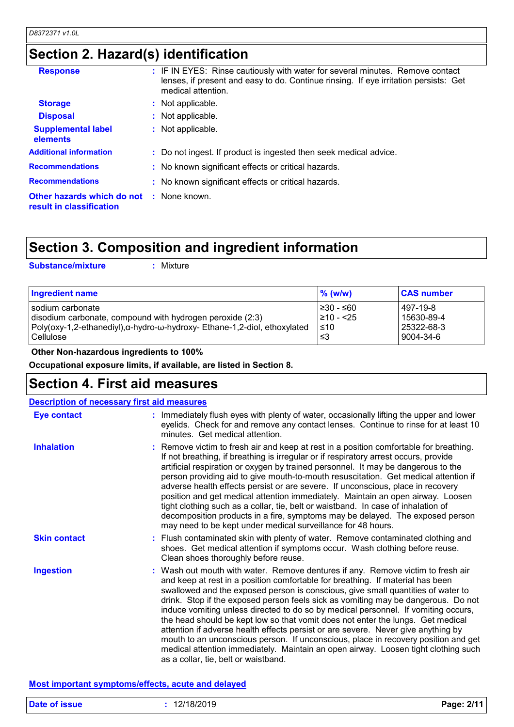| Section 2. Hazard(s) identification |  |
|-------------------------------------|--|
|-------------------------------------|--|

| <b>Response</b>                                                             | : IF IN EYES: Rinse cautiously with water for several minutes. Remove contact<br>lenses, if present and easy to do. Continue rinsing. If eye irritation persists: Get<br>medical attention. |
|-----------------------------------------------------------------------------|---------------------------------------------------------------------------------------------------------------------------------------------------------------------------------------------|
| <b>Storage</b>                                                              | : Not applicable.                                                                                                                                                                           |
| <b>Disposal</b>                                                             | : Not applicable.                                                                                                                                                                           |
| <b>Supplemental label</b><br>elements                                       | : Not applicable.                                                                                                                                                                           |
| <b>Additional information</b>                                               | : Do not ingest. If product is ingested then seek medical advice.                                                                                                                           |
| <b>Recommendations</b>                                                      | : No known significant effects or critical hazards.                                                                                                                                         |
| <b>Recommendations</b>                                                      | : No known significant effects or critical hazards.                                                                                                                                         |
| <b>Other hazards which do not : None known.</b><br>result in classification |                                                                                                                                                                                             |

## **Section 3. Composition and ingredient information**

**Substance/mixture :**

: Mixture

|                                                                                                                                                                                                                        | 497-19-8                              |
|------------------------------------------------------------------------------------------------------------------------------------------------------------------------------------------------------------------------|---------------------------------------|
| l≥30 - ≤60<br>I sodium carbonate<br>210 - <25<br>disodium carbonate, compound with hydrogen peroxide (2:3)<br>Poly(oxy-1,2-ethanediyl),α-hydro-ω-hydroxy- Ethane-1,2-diol, ethoxylated<br>$\leq 10$<br>Cellulose<br>≤3 | 15630-89-4<br>25322-68-3<br>9004-34-6 |

 **Other Non-hazardous ingredients to 100%**

**Occupational exposure limits, if available, are listed in Section 8.**

### **Section 4. First aid measures**

| <b>Description of necessary first aid measures</b> |                                                                                                                                                                                                                                                                                                                                                                                                                                                                                                                                                                                                                                                                                                                                                                                                                              |
|----------------------------------------------------|------------------------------------------------------------------------------------------------------------------------------------------------------------------------------------------------------------------------------------------------------------------------------------------------------------------------------------------------------------------------------------------------------------------------------------------------------------------------------------------------------------------------------------------------------------------------------------------------------------------------------------------------------------------------------------------------------------------------------------------------------------------------------------------------------------------------------|
| <b>Eye contact</b>                                 | : Immediately flush eyes with plenty of water, occasionally lifting the upper and lower<br>eyelids. Check for and remove any contact lenses. Continue to rinse for at least 10<br>minutes. Get medical attention.                                                                                                                                                                                                                                                                                                                                                                                                                                                                                                                                                                                                            |
| <b>Inhalation</b>                                  | : Remove victim to fresh air and keep at rest in a position comfortable for breathing.<br>If not breathing, if breathing is irregular or if respiratory arrest occurs, provide<br>artificial respiration or oxygen by trained personnel. It may be dangerous to the<br>person providing aid to give mouth-to-mouth resuscitation. Get medical attention if<br>adverse health effects persist or are severe. If unconscious, place in recovery<br>position and get medical attention immediately. Maintain an open airway. Loosen<br>tight clothing such as a collar, tie, belt or waistband. In case of inhalation of<br>decomposition products in a fire, symptoms may be delayed. The exposed person<br>may need to be kept under medical surveillance for 48 hours.                                                       |
| <b>Skin contact</b>                                | : Flush contaminated skin with plenty of water. Remove contaminated clothing and<br>shoes. Get medical attention if symptoms occur. Wash clothing before reuse.<br>Clean shoes thoroughly before reuse.                                                                                                                                                                                                                                                                                                                                                                                                                                                                                                                                                                                                                      |
| <b>Ingestion</b>                                   | : Wash out mouth with water. Remove dentures if any. Remove victim to fresh air<br>and keep at rest in a position comfortable for breathing. If material has been<br>swallowed and the exposed person is conscious, give small quantities of water to<br>drink. Stop if the exposed person feels sick as vomiting may be dangerous. Do not<br>induce vomiting unless directed to do so by medical personnel. If vomiting occurs,<br>the head should be kept low so that vomit does not enter the lungs. Get medical<br>attention if adverse health effects persist or are severe. Never give anything by<br>mouth to an unconscious person. If unconscious, place in recovery position and get<br>medical attention immediately. Maintain an open airway. Loosen tight clothing such<br>as a collar, tie, belt or waistband. |

#### **Most important symptoms/effects, acute and delayed**

| <b>Date of issue</b> | 12/18/2019 | 2/11<br>Page: |
|----------------------|------------|---------------|
|                      |            |               |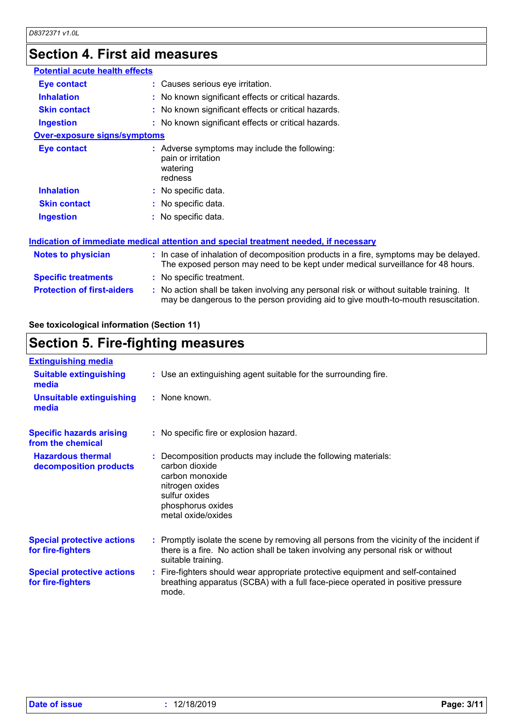# **Section 4. First aid measures**

| <b>Potential acute health effects</b> |                                                                                                                                                                               |
|---------------------------------------|-------------------------------------------------------------------------------------------------------------------------------------------------------------------------------|
| <b>Eye contact</b>                    | : Causes serious eye irritation.                                                                                                                                              |
| <b>Inhalation</b>                     | : No known significant effects or critical hazards.                                                                                                                           |
| <b>Skin contact</b>                   | : No known significant effects or critical hazards.                                                                                                                           |
| <b>Ingestion</b>                      | : No known significant effects or critical hazards.                                                                                                                           |
| <b>Over-exposure signs/symptoms</b>   |                                                                                                                                                                               |
| <b>Eye contact</b>                    | : Adverse symptoms may include the following:<br>pain or irritation<br>watering<br>redness                                                                                    |
| <b>Inhalation</b>                     | : No specific data.                                                                                                                                                           |
| <b>Skin contact</b>                   | : No specific data.                                                                                                                                                           |
| <b>Ingestion</b>                      | : No specific data.                                                                                                                                                           |
|                                       | <u>Indication of immediate medical attention and special treatment needed, if necessary</u>                                                                                   |
| <b>Notes to physician</b>             | : In case of inhalation of decomposition products in a fire, symptoms may be delayed.<br>The exposed person may need to be kept under medical surveillance for 48 hours.      |
| <b>Specific treatments</b>            | : No specific treatment.                                                                                                                                                      |
| <b>Protection of first-aiders</b>     | : No action shall be taken involving any personal risk or without suitable training. It<br>may be dangerous to the person providing aid to give mouth-to-mouth resuscitation. |

### **See toxicological information (Section 11)**

## **Section 5. Fire-fighting measures**

| <b>Extinguishing media</b>                             |                                                                                                                                                                                                     |
|--------------------------------------------------------|-----------------------------------------------------------------------------------------------------------------------------------------------------------------------------------------------------|
| <b>Suitable extinguishing</b><br>media                 | : Use an extinguishing agent suitable for the surrounding fire.                                                                                                                                     |
| <b>Unsuitable extinguishing</b><br>media               | : None known.                                                                                                                                                                                       |
| <b>Specific hazards arising</b><br>from the chemical   | : No specific fire or explosion hazard.                                                                                                                                                             |
| <b>Hazardous thermal</b><br>decomposition products     | Decomposition products may include the following materials:<br>carbon dioxide<br>carbon monoxide<br>nitrogen oxides<br>sulfur oxides<br>phosphorus oxides<br>metal oxide/oxides                     |
| <b>Special protective actions</b><br>for fire-fighters | : Promptly isolate the scene by removing all persons from the vicinity of the incident if<br>there is a fire. No action shall be taken involving any personal risk or without<br>suitable training. |
| <b>Special protective actions</b><br>for fire-fighters | : Fire-fighters should wear appropriate protective equipment and self-contained<br>breathing apparatus (SCBA) with a full face-piece operated in positive pressure<br>mode.                         |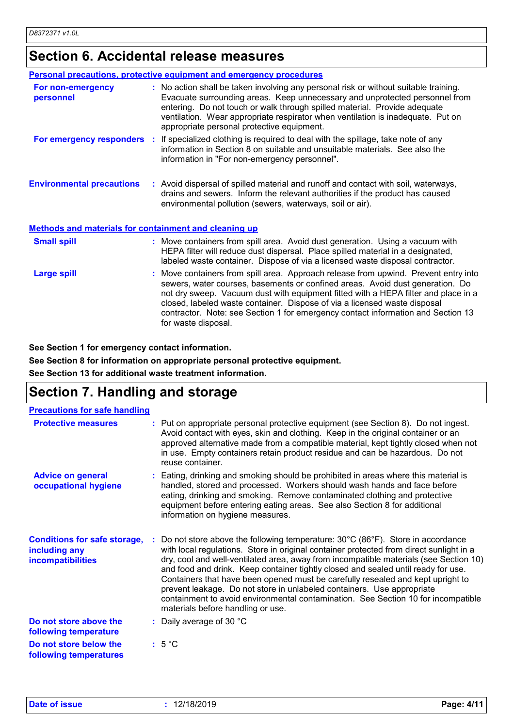### **Section 6. Accidental release measures**

|                                                              | <b>Personal precautions, protective equipment and emergency procedures</b>                                                                                                                                                                                                                                                                                                                                                                         |
|--------------------------------------------------------------|----------------------------------------------------------------------------------------------------------------------------------------------------------------------------------------------------------------------------------------------------------------------------------------------------------------------------------------------------------------------------------------------------------------------------------------------------|
| For non-emergency<br>personnel                               | : No action shall be taken involving any personal risk or without suitable training.<br>Evacuate surrounding areas. Keep unnecessary and unprotected personnel from<br>entering. Do not touch or walk through spilled material. Provide adequate<br>ventilation. Wear appropriate respirator when ventilation is inadequate. Put on<br>appropriate personal protective equipment.                                                                  |
|                                                              | For emergency responders : If specialized clothing is required to deal with the spillage, take note of any<br>information in Section 8 on suitable and unsuitable materials. See also the<br>information in "For non-emergency personnel".                                                                                                                                                                                                         |
| <b>Environmental precautions</b>                             | : Avoid dispersal of spilled material and runoff and contact with soil, waterways,<br>drains and sewers. Inform the relevant authorities if the product has caused<br>environmental pollution (sewers, waterways, soil or air).                                                                                                                                                                                                                    |
| <b>Methods and materials for containment and cleaning up</b> |                                                                                                                                                                                                                                                                                                                                                                                                                                                    |
| <b>Small spill</b>                                           | : Move containers from spill area. Avoid dust generation. Using a vacuum with<br>HEPA filter will reduce dust dispersal. Place spilled material in a designated,<br>labeled waste container. Dispose of via a licensed waste disposal contractor.                                                                                                                                                                                                  |
| <b>Large spill</b>                                           | : Move containers from spill area. Approach release from upwind. Prevent entry into<br>sewers, water courses, basements or confined areas. Avoid dust generation. Do<br>not dry sweep. Vacuum dust with equipment fitted with a HEPA filter and place in a<br>closed, labeled waste container. Dispose of via a licensed waste disposal<br>contractor. Note: see Section 1 for emergency contact information and Section 13<br>for waste disposal. |

**See Section 1 for emergency contact information.**

**See Section 8 for information on appropriate personal protective equipment.**

**See Section 13 for additional waste treatment information.**

### **Section 7. Handling and storage**

| <b>Precautions for safe handling</b>                                      |                                                                                                                                                                                                                                                                                                                                                                                                                                                                                                                                                                                                                                                                       |
|---------------------------------------------------------------------------|-----------------------------------------------------------------------------------------------------------------------------------------------------------------------------------------------------------------------------------------------------------------------------------------------------------------------------------------------------------------------------------------------------------------------------------------------------------------------------------------------------------------------------------------------------------------------------------------------------------------------------------------------------------------------|
| <b>Protective measures</b>                                                | : Put on appropriate personal protective equipment (see Section 8). Do not ingest.<br>Avoid contact with eyes, skin and clothing. Keep in the original container or an<br>approved alternative made from a compatible material, kept tightly closed when not<br>in use. Empty containers retain product residue and can be hazardous. Do not<br>reuse container.                                                                                                                                                                                                                                                                                                      |
| <b>Advice on general</b><br>occupational hygiene                          | : Eating, drinking and smoking should be prohibited in areas where this material is<br>handled, stored and processed. Workers should wash hands and face before<br>eating, drinking and smoking. Remove contaminated clothing and protective<br>equipment before entering eating areas. See also Section 8 for additional<br>information on hygiene measures.                                                                                                                                                                                                                                                                                                         |
| <b>Conditions for safe storage,</b><br>including any<br>incompatibilities | : Do not store above the following temperature: $30^{\circ}$ C (86 $^{\circ}$ F). Store in accordance<br>with local regulations. Store in original container protected from direct sunlight in a<br>dry, cool and well-ventilated area, away from incompatible materials (see Section 10)<br>and food and drink. Keep container tightly closed and sealed until ready for use.<br>Containers that have been opened must be carefully resealed and kept upright to<br>prevent leakage. Do not store in unlabeled containers. Use appropriate<br>containment to avoid environmental contamination. See Section 10 for incompatible<br>materials before handling or use. |
| Do not store above the<br>following temperature                           | : Daily average of 30 $^{\circ}$ C                                                                                                                                                                                                                                                                                                                                                                                                                                                                                                                                                                                                                                    |
| Do not store below the<br>following temperatures                          | $:5^{\circ}C$                                                                                                                                                                                                                                                                                                                                                                                                                                                                                                                                                                                                                                                         |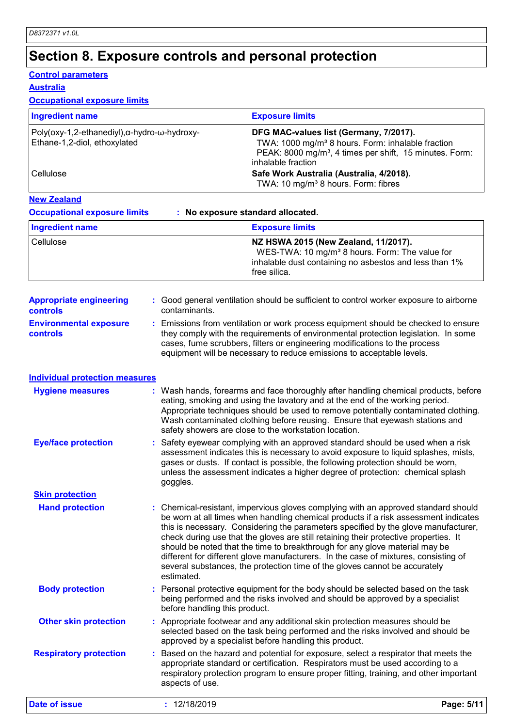# **Section 8. Exposure controls and personal protection**

#### **Control parameters**

#### **Australia**

### **Occupational exposure limits**

| <b>Ingredient name</b>                                                      | <b>Exposure limits</b>                                                                                                                                                                               |
|-----------------------------------------------------------------------------|------------------------------------------------------------------------------------------------------------------------------------------------------------------------------------------------------|
| Poly(oxy-1,2-ethanediyl),α-hydro-ω-hydroxy-<br>Ethane-1,2-diol, ethoxylated | DFG MAC-values list (Germany, 7/2017).<br>TWA: 1000 mg/m <sup>3</sup> 8 hours. Form: inhalable fraction<br>PEAK: 8000 mg/m <sup>3</sup> , 4 times per shift, 15 minutes. Form:<br>inhalable fraction |
| <b>Cellulose</b>                                                            | Safe Work Australia (Australia, 4/2018).<br>TWA: 10 mg/m <sup>3</sup> 8 hours. Form: fibres                                                                                                          |

#### **New Zealand**

**Occupational exposure limits : No exposure standard allocated.**

| Ingredient name | <b>Exposure limits</b>                                                                                                                                                       |
|-----------------|------------------------------------------------------------------------------------------------------------------------------------------------------------------------------|
| Cellulose       | NZ HSWA 2015 (New Zealand, 11/2017).<br>WES-TWA: 10 mg/m <sup>3</sup> 8 hours. Form: The value for<br>inhalable dust containing no asbestos and less than 1%<br>free silica. |

| <b>Appropriate engineering</b>                   | : Good general ventilation should be sufficient to control worker exposure to airborne                                                                                                                                                                                                                                          |
|--------------------------------------------------|---------------------------------------------------------------------------------------------------------------------------------------------------------------------------------------------------------------------------------------------------------------------------------------------------------------------------------|
| <b>controls</b>                                  | contaminants.                                                                                                                                                                                                                                                                                                                   |
| <b>Environmental exposure</b><br><b>controls</b> | : Emissions from ventilation or work process equipment should be checked to ensure<br>they comply with the requirements of environmental protection legislation. In some<br>cases, fume scrubbers, filters or engineering modifications to the process<br>equipment will be necessary to reduce emissions to acceptable levels. |

|  | <b>Individual protection measures</b> |  |  |
|--|---------------------------------------|--|--|
|  |                                       |  |  |

| <b>Hygiene measures</b>       | : Wash hands, forearms and face thoroughly after handling chemical products, before<br>eating, smoking and using the lavatory and at the end of the working period.<br>Appropriate techniques should be used to remove potentially contaminated clothing.<br>Wash contaminated clothing before reusing. Ensure that eyewash stations and<br>safety showers are close to the workstation location.                                                                                                                                                                                                                         |
|-------------------------------|---------------------------------------------------------------------------------------------------------------------------------------------------------------------------------------------------------------------------------------------------------------------------------------------------------------------------------------------------------------------------------------------------------------------------------------------------------------------------------------------------------------------------------------------------------------------------------------------------------------------------|
| <b>Eye/face protection</b>    | : Safety eyewear complying with an approved standard should be used when a risk<br>assessment indicates this is necessary to avoid exposure to liquid splashes, mists,<br>gases or dusts. If contact is possible, the following protection should be worn,<br>unless the assessment indicates a higher degree of protection: chemical splash<br>goggles.                                                                                                                                                                                                                                                                  |
| <b>Skin protection</b>        |                                                                                                                                                                                                                                                                                                                                                                                                                                                                                                                                                                                                                           |
| <b>Hand protection</b>        | : Chemical-resistant, impervious gloves complying with an approved standard should<br>be worn at all times when handling chemical products if a risk assessment indicates<br>this is necessary. Considering the parameters specified by the glove manufacturer,<br>check during use that the gloves are still retaining their protective properties. It<br>should be noted that the time to breakthrough for any glove material may be<br>different for different glove manufacturers. In the case of mixtures, consisting of<br>several substances, the protection time of the gloves cannot be accurately<br>estimated. |
| <b>Body protection</b>        | Personal protective equipment for the body should be selected based on the task<br>being performed and the risks involved and should be approved by a specialist<br>before handling this product.                                                                                                                                                                                                                                                                                                                                                                                                                         |
| <b>Other skin protection</b>  | : Appropriate footwear and any additional skin protection measures should be<br>selected based on the task being performed and the risks involved and should be<br>approved by a specialist before handling this product.                                                                                                                                                                                                                                                                                                                                                                                                 |
| <b>Respiratory protection</b> | Based on the hazard and potential for exposure, select a respirator that meets the<br>appropriate standard or certification. Respirators must be used according to a<br>respiratory protection program to ensure proper fitting, training, and other important<br>aspects of use.                                                                                                                                                                                                                                                                                                                                         |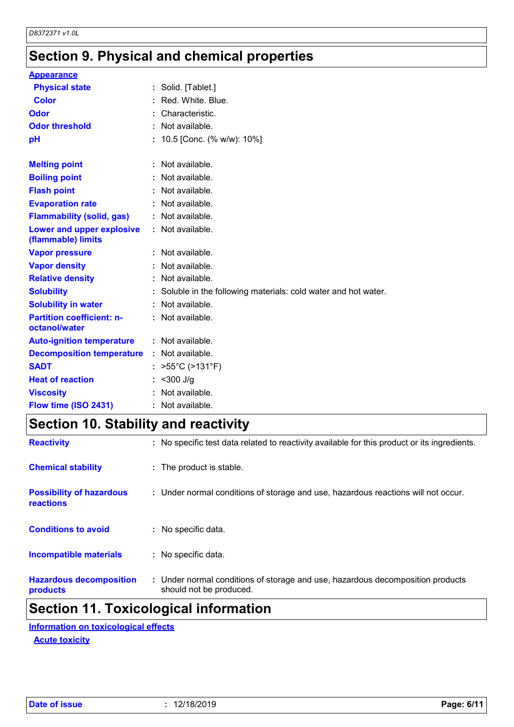# **Section 9. Physical and chemical properties**

| <b>Appearance</b>                                 |                                                               |
|---------------------------------------------------|---------------------------------------------------------------|
| <b>Physical state</b>                             | : Solid. [Tablet.]                                            |
| Color                                             | Red. White, Blue.                                             |
| Odor                                              | Characteristic.                                               |
| <b>Odor threshold</b>                             | Not available.                                                |
| рH                                                | 10.5 [Conc. (% w/w): 10%]                                     |
| <b>Melting point</b>                              | : Not available.                                              |
| <b>Boiling point</b>                              | Not available.                                                |
| <b>Flash point</b>                                | Not available.                                                |
| <b>Evaporation rate</b>                           | : Not available.                                              |
| <b>Flammability (solid, gas)</b>                  | : Not available.                                              |
| Lower and upper explosive<br>(flammable) limits   | : Not available.                                              |
| <b>Vapor pressure</b>                             | : Not available.                                              |
| <b>Vapor density</b>                              | Not available.                                                |
| <b>Relative density</b>                           | : Not available.                                              |
| <b>Solubility</b>                                 | Soluble in the following materials: cold water and hot water. |
| <b>Solubility in water</b>                        | : Not available.                                              |
| <b>Partition coefficient: n-</b><br>octanol/water | : Not available.                                              |
| <b>Auto-ignition temperature</b>                  | : Not available.                                              |
| <b>Decomposition temperature</b>                  | Not available.                                                |
| <b>SADT</b>                                       | $>55^{\circ}$ C ( $>131^{\circ}$ F)                           |
| <b>Heat of reaction</b>                           | $<$ 300 J/g                                                   |
| <b>Viscosity</b>                                  | Not available.                                                |
| Flow time (ISO 2431)                              | Not available.                                                |

# **Section 10. Stability and reactivity**

| <b>Hazardous decomposition</b><br>products          | : Under normal conditions of storage and use, hazardous decomposition products<br>should not be produced. |
|-----------------------------------------------------|-----------------------------------------------------------------------------------------------------------|
| <b>Incompatible materials</b>                       | : No specific data.                                                                                       |
| <b>Conditions to avoid</b>                          | : No specific data.                                                                                       |
| <b>Possibility of hazardous</b><br><b>reactions</b> | : Under normal conditions of storage and use, hazardous reactions will not occur.                         |
| <b>Chemical stability</b>                           | : The product is stable.                                                                                  |
| <b>Reactivity</b>                                   | : No specific test data related to reactivity available for this product or its ingredients.              |

### **Section 11. Toxicological information**

**Acute toxicity Information on toxicological effects**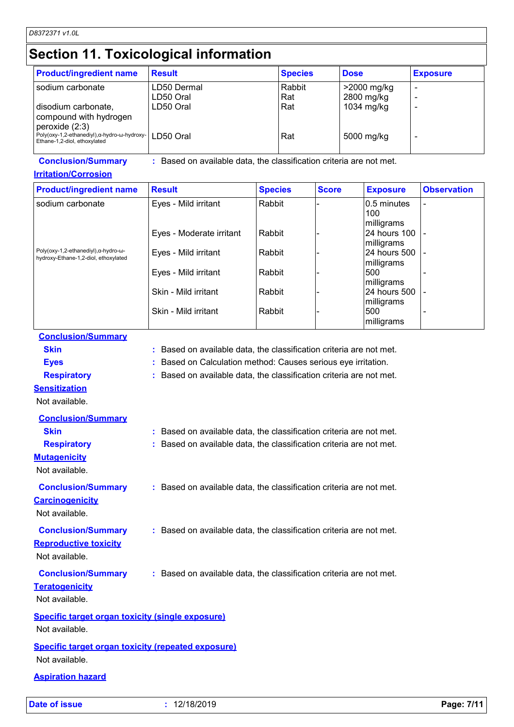# **Section 11. Toxicological information**

| <b>Product/ingredient name</b>                                                                | <b>Result</b> | <b>Species</b> | <b>Dose</b> | <b>Exposure</b> |
|-----------------------------------------------------------------------------------------------|---------------|----------------|-------------|-----------------|
| sodium carbonate                                                                              | LD50 Dermal   | Rabbit         | >2000 mg/kg |                 |
|                                                                                               | LD50 Oral     | Rat            | 2800 mg/kg  |                 |
| disodium carbonate,<br>compound with hydrogen                                                 | LD50 Oral     | Rat            | 1034 mg/kg  |                 |
| peroxide (2:3)<br>Poly(oxy-1,2-ethanediyl),α-hydro-ω-hydroxy-<br>Ethane-1,2-diol, ethoxylated | LD50 Oral     | Rat            | 5000 mg/kg  |                 |

**Conclusion/Summary :** Based on available data, the classification criteria are not met.

#### **Irritation/Corrosion**

| <b>Product/ingredient name</b>                                                                | <b>Result</b>            | <b>Species</b> | <b>Score</b> | <b>Exposure</b> | <b>Observation</b> |
|-----------------------------------------------------------------------------------------------|--------------------------|----------------|--------------|-----------------|--------------------|
| sodium carbonate                                                                              | Eyes - Mild irritant     | Rabbit         |              | 0.5 minutes     |                    |
|                                                                                               |                          |                |              | 100             |                    |
|                                                                                               |                          |                |              | milligrams      |                    |
|                                                                                               | Eyes - Moderate irritant | Rabbit         |              | 24 hours 100    |                    |
|                                                                                               |                          |                |              | milligrams      |                    |
| Poly(oxy-1,2-ethanediyl), $\alpha$ -hydro- $\omega$ -<br>hydroxy-Ethane-1,2-diol, ethoxylated | Eyes - Mild irritant     | Rabbit         |              | l24 hours 500   |                    |
|                                                                                               |                          |                |              | milligrams      |                    |
|                                                                                               | Eyes - Mild irritant     | Rabbit         |              | 500             |                    |
|                                                                                               |                          |                |              | milligrams      |                    |
|                                                                                               | Skin - Mild irritant     | Rabbit         |              | 24 hours 500    |                    |
|                                                                                               |                          |                |              | milligrams      |                    |
|                                                                                               | Skin - Mild irritant     | Rabbit         |              | 500             |                    |
|                                                                                               |                          |                |              | milligrams      |                    |

#### **Conclusion/Summary**

**Skin Example 2018 :** Based on available data, the classification criteria are not met.

**Eyes :** Based on Calculation method: Causes serious eye irritation.

**Respiratory :** Based on available data, the classification criteria are not met.

#### **Sensitization**

Not available.

| <b>Conclusion/Summary</b>                                 |                                                                     |
|-----------------------------------------------------------|---------------------------------------------------------------------|
| <b>Skin</b>                                               | : Based on available data, the classification criteria are not met. |
| <b>Respiratory</b>                                        | : Based on available data, the classification criteria are not met. |
| <b>Mutagenicity</b><br>Not available.                     |                                                                     |
| <b>Conclusion/Summary</b>                                 | : Based on available data, the classification criteria are not met. |
| <b>Carcinogenicity</b><br>Not available.                  |                                                                     |
| <b>Conclusion/Summary</b>                                 | : Based on available data, the classification criteria are not met. |
| <b>Reproductive toxicity</b>                              |                                                                     |
| Not available.                                            |                                                                     |
| <b>Conclusion/Summary</b>                                 | : Based on available data, the classification criteria are not met. |
| <b>Teratogenicity</b>                                     |                                                                     |
| Not available.                                            |                                                                     |
| <b>Specific target organ toxicity (single exposure)</b>   |                                                                     |
| Not available.                                            |                                                                     |
| <b>Specific target organ toxicity (repeated exposure)</b> |                                                                     |
| Not available.                                            |                                                                     |
| <b>Aspiration hazard</b>                                  |                                                                     |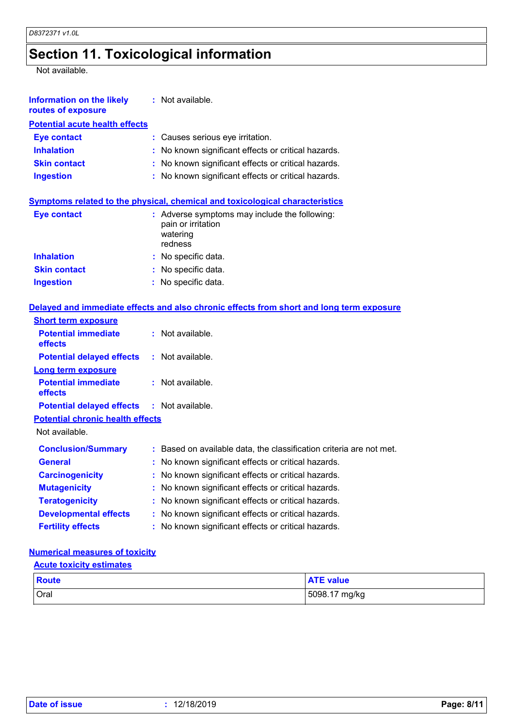# **Section 11. Toxicological information**

Not available.

| <b>Information on the likely</b><br>routes of exposure | $:$ Not available.                                                                         |
|--------------------------------------------------------|--------------------------------------------------------------------------------------------|
| <b>Potential acute health effects</b>                  |                                                                                            |
| <b>Eye contact</b>                                     | : Causes serious eye irritation.                                                           |
| <b>Inhalation</b>                                      | : No known significant effects or critical hazards.                                        |
| <b>Skin contact</b>                                    | : No known significant effects or critical hazards.                                        |
| <b>Ingestion</b>                                       | : No known significant effects or critical hazards.                                        |
|                                                        | Symptoms related to the physical, chemical and toxicological characteristics               |
| <b>Eye contact</b>                                     | : Adverse symptoms may include the following:<br>pain or irritation<br>watering<br>redness |
| <b>Inhalation</b>                                      | : No specific data.                                                                        |
| <b>Skin contact</b>                                    | : No specific data.                                                                        |
| <b>Ingestion</b>                                       | : No specific data.                                                                        |
|                                                        | Delayed and immediate effects and also chronic effects from short and long term exposure   |
| <b>Short term exposure</b>                             |                                                                                            |
| <b>Potential immediate</b><br>effects                  | : Not available.                                                                           |
| <b>Potential delayed effects</b>                       | $:$ Not available.                                                                         |
| Long term exposure                                     |                                                                                            |
| <b>Potential immediate</b><br>effects                  | : Not available.                                                                           |
| <b>Potential delayed effects</b>                       | $:$ Not available.                                                                         |
| <b>Potential chronic health effects</b>                |                                                                                            |
| Not available.                                         |                                                                                            |
| <b>Conclusion/Summary</b>                              | : Based on available data, the classification criteria are not met.                        |
| <b>General</b>                                         | No known significant effects or critical hazards.                                          |
| <b>Carcinogenicity</b>                                 | No known significant effects or critical hazards.                                          |
| <b>Mutagenicity</b>                                    | No known significant effects or critical hazards.                                          |
| <b>Teratogenicity</b>                                  | : No known significant effects or critical hazards.                                        |
| <b>Developmental effects</b>                           | : No known significant effects or critical hazards.                                        |
| <b>Fertility effects</b>                               | : No known significant effects or critical hazards.                                        |
|                                                        |                                                                                            |

### **Numerical measures of toxicity**

#### **Acute toxicity estimates**

| <b>Route</b> | <b>ATE</b> value |
|--------------|------------------|
| <b>Oral</b>  | 5098.17 mg/kg    |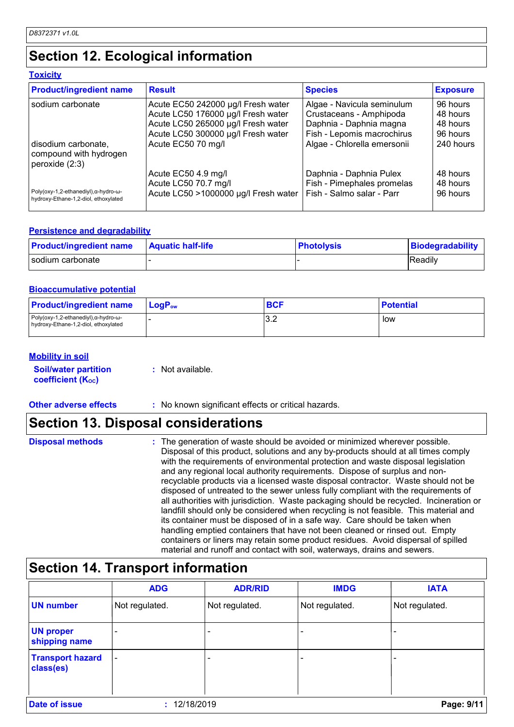# **Section 12. Ecological information**

#### **Toxicity**

| <b>Product/ingredient name</b>                                                                | <b>Result</b>                        | <b>Species</b>              | <b>Exposure</b> |
|-----------------------------------------------------------------------------------------------|--------------------------------------|-----------------------------|-----------------|
| sodium carbonate                                                                              | Acute EC50 242000 µg/l Fresh water   | Algae - Navicula seminulum  | 96 hours        |
|                                                                                               | Acute LC50 176000 µg/l Fresh water   | Crustaceans - Amphipoda     | 48 hours        |
|                                                                                               | Acute LC50 265000 µg/l Fresh water   | Daphnia - Daphnia magna     | 48 hours        |
|                                                                                               | Acute LC50 300000 µg/l Fresh water   | Fish - Lepomis macrochirus  | 96 hours        |
| disodium carbonate,<br>compound with hydrogen<br>peroxide $(2:3)$                             | Acute EC50 70 mg/l                   | Algae - Chlorella emersonii | 240 hours       |
|                                                                                               | Acute EC50 4.9 mg/l                  | Daphnia - Daphnia Pulex     | 48 hours        |
|                                                                                               | Acute LC50 70.7 mg/l                 | Fish - Pimephales promelas  | 48 hours        |
| Poly(oxy-1,2-ethanediyl), $\alpha$ -hydro- $\omega$ -<br>hydroxy-Ethane-1,2-diol, ethoxylated | Acute LC50 >1000000 µg/l Fresh water | Fish - Salmo salar - Parr   | 96 hours        |

#### **Persistence and degradability**

| <b>Product/ingredient name</b> | <b>Aquatic half-life</b> | <b>Photolysis</b> | Biodegradability |
|--------------------------------|--------------------------|-------------------|------------------|
| sodium carbonate               |                          |                   | Readily          |

#### **Bioaccumulative potential**

| <b>Product/ingredient name</b>                                                                | <b>LogP</b> <sub>ow</sub> | <b>BCF</b> | <b>Potential</b> |
|-----------------------------------------------------------------------------------------------|---------------------------|------------|------------------|
| Poly(oxy-1,2-ethanediyl), $\alpha$ -hydro- $\omega$ -<br>hydroxy-Ethane-1,2-diol, ethoxylated |                           | 3.2        | low              |

#### **Mobility in soil**

| <b>Soil/water partition</b> | : Not available. |
|-----------------------------|------------------|
| <b>coefficient (Koc)</b>    |                  |

#### **Other adverse effects** : No known significant effects or critical hazards.

## **Section 13. Disposal considerations**

| <b>Disposal methods</b> | : The generation of waste should be avoided or minimized wherever possible.<br>Disposal of this product, solutions and any by-products should at all times comply<br>with the requirements of environmental protection and waste disposal legislation<br>and any regional local authority requirements. Dispose of surplus and non-                                                                                                     |
|-------------------------|-----------------------------------------------------------------------------------------------------------------------------------------------------------------------------------------------------------------------------------------------------------------------------------------------------------------------------------------------------------------------------------------------------------------------------------------|
|                         | recyclable products via a licensed waste disposal contractor. Waste should not be<br>disposed of untreated to the sewer unless fully compliant with the requirements of<br>all authorities with jurisdiction. Waste packaging should be recycled. Incineration or<br>landfill should only be considered when recycling is not feasible. This material and<br>its container must be disposed of in a safe way. Care should be taken when |
|                         | handling emptied containers that have not been cleaned or rinsed out. Empty<br>containers or liners may retain some product residues. Avoid dispersal of spilled<br>material and runoff and contact with soil, waterways, drains and sewers.                                                                                                                                                                                            |

## **Section 14. Transport information**

|                                      | <b>ADG</b>               | <b>ADR/RID</b> | <b>IMDG</b>    | <b>IATA</b>    |
|--------------------------------------|--------------------------|----------------|----------------|----------------|
| <b>UN number</b>                     | Not regulated.           | Not regulated. | Not regulated. | Not regulated. |
| <b>UN proper</b><br>shipping name    | -                        |                |                |                |
| <b>Transport hazard</b><br>class(es) | $\overline{\phantom{a}}$ |                |                |                |
| <b>Date of issue</b>                 | 12/18/2019               |                |                | Page: 9/11     |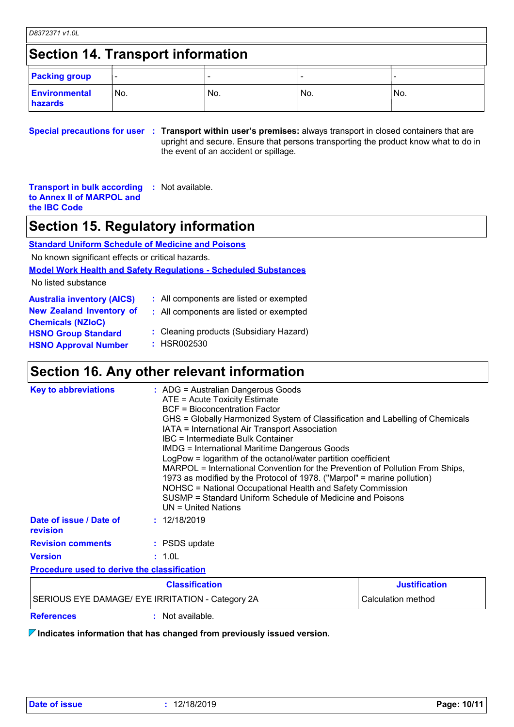### **Section 14. Transport information**

| <b>Packing group</b>            |      |     |     |      |
|---------------------------------|------|-----|-----|------|
| <b>Environmental</b><br>hazards | 'No. | No. | No. | 'No. |

**Special precautions for user Transport within user's premises:** always transport in closed containers that are **:** upright and secure. Ensure that persons transporting the product know what to do in the event of an accident or spillage.

**Transport in bulk according to Annex II of MARPOL and the IBC Code :** Not available.

### **Section 15. Regulatory information**

**Standard Uniform Schedule of Medicine and Poisons**

No known significant effects or critical hazards.

#### **Model Work Health and Safety Regulations - Scheduled Substances**

No listed substance

| <b>Australia inventory (AICS)</b> | : All components are listed or exempted |
|-----------------------------------|-----------------------------------------|
| <b>New Zealand Inventory of</b>   | : All components are listed or exempted |
| <b>Chemicals (NZIoC)</b>          |                                         |
| <b>HSNO Group Standard</b>        | : Cleaning products (Subsidiary Hazard) |
| <b>HSNO Approval Number</b>       | : HSR002530                             |

### **Section 16. Any other relevant information**

| <b>HONO OF UPP ORTUAL</b><br><b>HSNO Approval Number</b> | : HSR002530                                                                                                                                                                                                                                                                                                                                                                                                                                                                                                                                                                                                                                                                                                                  |  |
|----------------------------------------------------------|------------------------------------------------------------------------------------------------------------------------------------------------------------------------------------------------------------------------------------------------------------------------------------------------------------------------------------------------------------------------------------------------------------------------------------------------------------------------------------------------------------------------------------------------------------------------------------------------------------------------------------------------------------------------------------------------------------------------------|--|
|                                                          | Section 16. Any other relevant information                                                                                                                                                                                                                                                                                                                                                                                                                                                                                                                                                                                                                                                                                   |  |
| <b>Key to abbreviations</b>                              | $:$ ADG = Australian Dangerous Goods<br>ATE = Acute Toxicity Estimate<br><b>BCF</b> = Bioconcentration Factor<br>GHS = Globally Harmonized System of Classification and Labelling of Chemicals<br>IATA = International Air Transport Association<br>IBC = Intermediate Bulk Container<br><b>IMDG = International Maritime Dangerous Goods</b><br>LogPow = logarithm of the octanol/water partition coefficient<br>MARPOL = International Convention for the Prevention of Pollution From Ships,<br>1973 as modified by the Protocol of 1978. ("Marpol" = marine pollution)<br>NOHSC = National Occupational Health and Safety Commission<br>SUSMP = Standard Uniform Schedule of Medicine and Poisons<br>UN = United Nations |  |
| Date of issue / Date of<br>revision                      | : 12/18/2019                                                                                                                                                                                                                                                                                                                                                                                                                                                                                                                                                                                                                                                                                                                 |  |
| <b>Revision comments</b>                                 | : PSDS update                                                                                                                                                                                                                                                                                                                                                                                                                                                                                                                                                                                                                                                                                                                |  |
| <b>Version</b>                                           | : 1.0L                                                                                                                                                                                                                                                                                                                                                                                                                                                                                                                                                                                                                                                                                                                       |  |
| <b>Procedure used to derive the classification</b>       |                                                                                                                                                                                                                                                                                                                                                                                                                                                                                                                                                                                                                                                                                                                              |  |
|                                                          | $Pla$ aaifiaatian<br>$l$ $l$ : $l$ : $l$                                                                                                                                                                                                                                                                                                                                                                                                                                                                                                                                                                                                                                                                                     |  |

|                                                  | <b>Justification</b> |  |
|--------------------------------------------------|----------------------|--|
| SERIOUS EYE DAMAGE/ EYE IRRITATION - Category 2A | Calculation method   |  |
| <b>References</b>                                | Not available.       |  |

**Indicates information that has changed from previously issued version.**